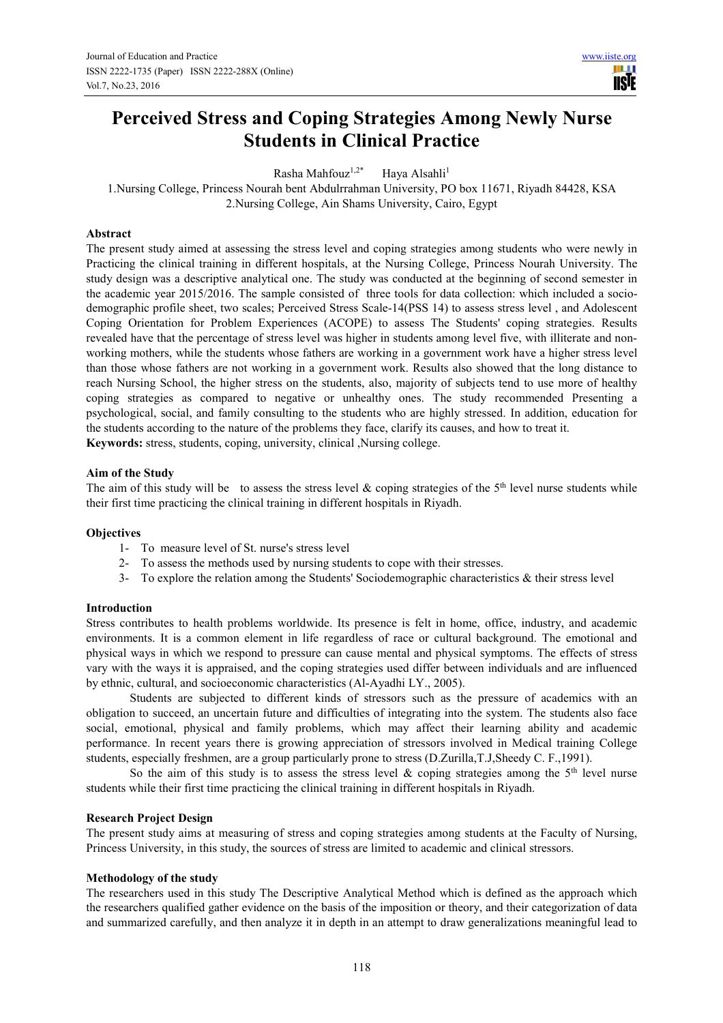# **Perceived Stress and Coping Strategies Among Newly Nurse Students in Clinical Practice**

Rasha Mahfouz<sup>1,2\*</sup> Haya Alsahli<sup>1</sup>

1.Nursing College, Princess Nourah bent Abdulrrahman University, PO box 11671, Riyadh 84428, KSA 2.Nursing College, Ain Shams University, Cairo, Egypt

# **Abstract**

The present study aimed at assessing the stress level and coping strategies among students who were newly in Practicing the clinical training in different hospitals, at the Nursing College, Princess Nourah University. The study design was a descriptive analytical one. The study was conducted at the beginning of second semester in the academic year 2015/2016. The sample consisted of three tools for data collection: which included a sociodemographic profile sheet, two scales; Perceived Stress Scale-14(PSS 14) to assess stress level , and Adolescent Coping Orientation for Problem Experiences (ACOPE) to assess The Students' coping strategies. Results revealed have that the percentage of stress level was higher in students among level five, with illiterate and nonworking mothers, while the students whose fathers are working in a government work have a higher stress level than those whose fathers are not working in a government work. Results also showed that the long distance to reach Nursing School, the higher stress on the students, also, majority of subjects tend to use more of healthy coping strategies as compared to negative or unhealthy ones. The study recommended Presenting a psychological, social, and family consulting to the students who are highly stressed. In addition, education for the students according to the nature of the problems they face, clarify its causes, and how to treat it.

**Keywords:** stress, students, coping, university, clinical ,Nursing college.

#### **Aim of the Study**

The aim of this study will be to assess the stress level & coping strategies of the 5<sup>th</sup> level nurse students while their first time practicing the clinical training in different hospitals in Riyadh.

## **Objectives**

- 1- To measure level of St. nurse's stress level
- 2- To assess the methods used by nursing students to cope with their stresses.
- 3- To explore the relation among the Students' Sociodemographic characteristics & their stress level

## **Introduction**

Stress contributes to health problems worldwide. Its presence is felt in home, office, industry, and academic environments. It is a common element in life regardless of race or cultural background. The emotional and physical ways in which we respond to pressure can cause mental and physical symptoms. The effects of stress vary with the ways it is appraised, and the coping strategies used differ between individuals and are influenced by ethnic, cultural, and socioeconomic characteristics (Al-Ayadhi LY., 2005).

Students are subjected to different kinds of stressors such as the pressure of academics with an obligation to succeed, an uncertain future and difficulties of integrating into the system. The students also face social, emotional, physical and family problems, which may affect their learning ability and academic performance. In recent years there is growing appreciation of stressors involved in Medical training College students, especially freshmen, are a group particularly prone to stress (D.Zurilla,T.J,Sheedy C. F.,1991).

So the aim of this study is to assess the stress level  $\&$  coping strategies among the 5<sup>th</sup> level nurse students while their first time practicing the clinical training in different hospitals in Riyadh.

#### **Research Project Design**

The present study aims at measuring of stress and coping strategies among students at the Faculty of Nursing, Princess University, in this study, the sources of stress are limited to academic and clinical stressors.

#### **Methodology of the study**

The researchers used in this study The Descriptive Analytical Method which is defined as the approach which the researchers qualified gather evidence on the basis of the imposition or theory, and their categorization of data and summarized carefully, and then analyze it in depth in an attempt to draw generalizations meaningful lead to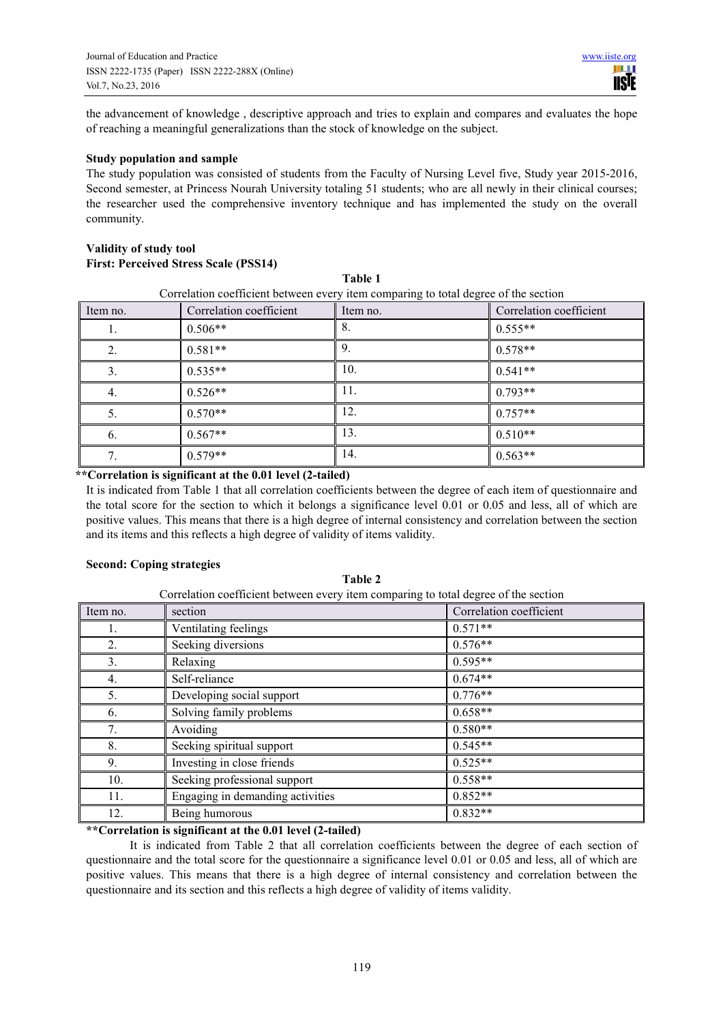the advancement of knowledge , descriptive approach and tries to explain and compares and evaluates the hope of reaching a meaningful generalizations than the stock of knowledge on the subject.

#### **Study population and sample**

The study population was consisted of students from the Faculty of Nursing Level five, Study year 2015-2016, Second semester, at Princess Nourah University totaling 51 students; who are all newly in their clinical courses; the researcher used the comprehensive inventory technique and has implemented the study on the overall community.

**Table 1** 

# **Validity of study tool**

# **First: Perceived Stress Scale (PSS14)**

|                                                                                     |                         | 1891V 1  |                         |  |  |  |
|-------------------------------------------------------------------------------------|-------------------------|----------|-------------------------|--|--|--|
| Correlation coefficient between every item comparing to total degree of the section |                         |          |                         |  |  |  |
| Item no.                                                                            | Correlation coefficient | Item no. | Correlation coefficient |  |  |  |
| Ī.                                                                                  | $0.506**$               | 8.       | $0.555**$               |  |  |  |
| 2.                                                                                  | $0.581**$               | 9.       | $0.578**$               |  |  |  |
| 3.                                                                                  | $0.535**$               | 10.      | $0.541**$               |  |  |  |
| 4.                                                                                  | $0.526**$               | 11.      | $0.793**$               |  |  |  |
| 5.                                                                                  | $0.570**$               | 12.      | $0.757**$               |  |  |  |
| 6.                                                                                  | $0.567**$               | 13.      | $0.510**$               |  |  |  |
|                                                                                     | $0.579**$               | 14.      | $0.563**$               |  |  |  |

#### **\*\*Correlation is significant at the 0.01 level (2-tailed)**

It is indicated from Table 1 that all correlation coefficients between the degree of each item of questionnaire and the total score for the section to which it belongs a significance level 0.01 or 0.05 and less, all of which are positive values. This means that there is a high degree of internal consistency and correlation between the section and its items and this reflects a high degree of validity of items validity.

#### **Second: Coping strategies**

| Correlation coefficient between every item comparing to total degree of the section |                                  |                         |  |  |  |
|-------------------------------------------------------------------------------------|----------------------------------|-------------------------|--|--|--|
| Item no.                                                                            | section                          | Correlation coefficient |  |  |  |
|                                                                                     | Ventilating feelings             | $0.571**$               |  |  |  |
| 2.                                                                                  | Seeking diversions               | $0.576**$               |  |  |  |
| 3.                                                                                  | Relaxing                         | $0.595**$               |  |  |  |
| 4.                                                                                  | Self-reliance                    | $0.674**$               |  |  |  |
| 5.                                                                                  | Developing social support        | $0.776**$               |  |  |  |
| 6.                                                                                  | Solving family problems          | $0.658**$               |  |  |  |
| 7.                                                                                  | Avoiding                         | $0.580**$               |  |  |  |
| 8.                                                                                  | Seeking spiritual support        | $0.545**$               |  |  |  |
| 9.                                                                                  | Investing in close friends       | $0.525**$               |  |  |  |
| 10.                                                                                 | Seeking professional support     | $0.558**$               |  |  |  |
| 11.                                                                                 | Engaging in demanding activities | $0.852**$               |  |  |  |
| 12.                                                                                 | Being humorous                   | $0.832**$               |  |  |  |

**Table 2** 

# **\*\*Correlation is significant at the 0.01 level (2-tailed)**

It is indicated from Table 2 that all correlation coefficients between the degree of each section of questionnaire and the total score for the questionnaire a significance level 0.01 or 0.05 and less, all of which are positive values. This means that there is a high degree of internal consistency and correlation between the questionnaire and its section and this reflects a high degree of validity of items validity.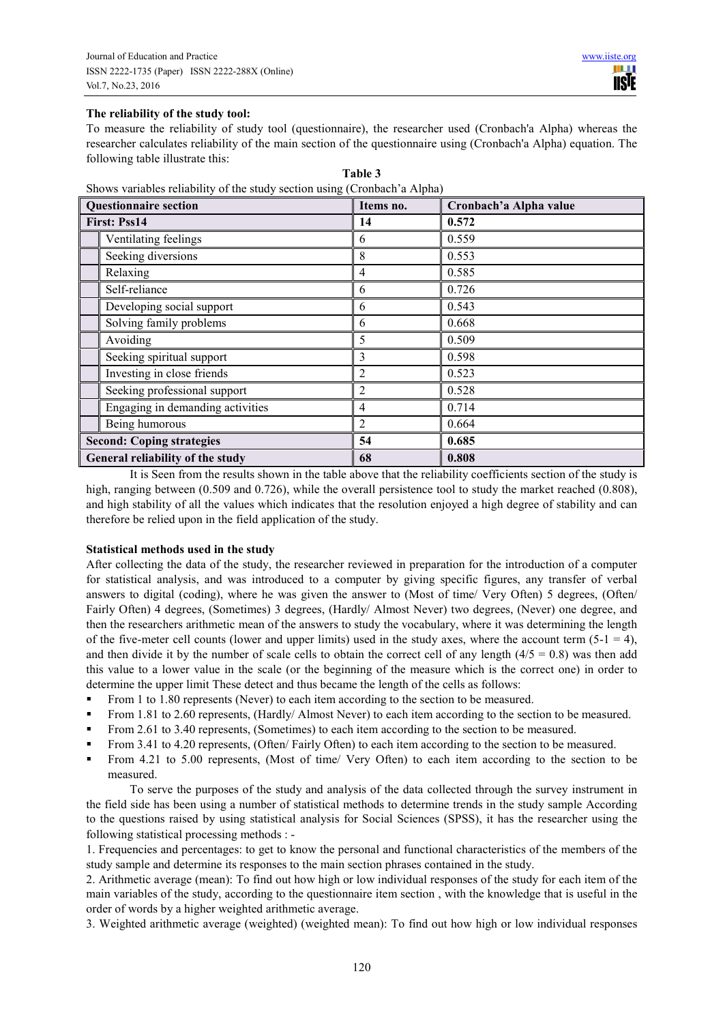# **The reliability of the study tool:**

To measure the reliability of study tool (questionnaire), the researcher used (Cronbach'a Alpha) whereas the researcher calculates reliability of the main section of the questionnaire using (Cronbach'a Alpha) equation. The following table illustrate this:

| <b>Questionnaire section</b>     |                                  | Items no.      | Cronbach'a Alpha value |
|----------------------------------|----------------------------------|----------------|------------------------|
| First: Pss14                     |                                  | 14             | 0.572                  |
|                                  | Ventilating feelings             | 6              | 0.559                  |
|                                  | Seeking diversions               | 8              | 0.553                  |
|                                  | Relaxing                         | 4              | 0.585                  |
|                                  | Self-reliance                    | 6              | 0.726                  |
|                                  | Developing social support        | 6              | 0.543                  |
|                                  | Solving family problems          | 6              | 0.668                  |
|                                  | Avoiding                         | 5              | 0.509                  |
|                                  | Seeking spiritual support        | 3              | 0.598                  |
|                                  | Investing in close friends       | 2              | 0.523                  |
|                                  | Seeking professional support     | $\overline{2}$ | 0.528                  |
|                                  | Engaging in demanding activities | 4              | 0.714                  |
|                                  | Being humorous                   | 2              | 0.664                  |
|                                  | <b>Second: Coping strategies</b> | 54             | 0.685                  |
| General reliability of the study |                                  | 68             | 0.808                  |

**Table 3** Shows variables reliability of the study section using (Cronbach'a Alpha)

It is Seen from the results shown in the table above that the reliability coefficients section of the study is high, ranging between (0.509 and 0.726), while the overall persistence tool to study the market reached (0.808), and high stability of all the values which indicates that the resolution enjoyed a high degree of stability and can therefore be relied upon in the field application of the study.

## **Statistical methods used in the study**

After collecting the data of the study, the researcher reviewed in preparation for the introduction of a computer for statistical analysis, and was introduced to a computer by giving specific figures, any transfer of verbal answers to digital (coding), where he was given the answer to (Most of time/ Very Often) 5 degrees, (Often/ Fairly Often) 4 degrees, (Sometimes) 3 degrees, (Hardly/ Almost Never) two degrees, (Never) one degree, and then the researchers arithmetic mean of the answers to study the vocabulary, where it was determining the length of the five-meter cell counts (lower and upper limits) used in the study axes, where the account term  $(5-1 = 4)$ , and then divide it by the number of scale cells to obtain the correct cell of any length  $(4/5 = 0.8)$  was then add this value to a lower value in the scale (or the beginning of the measure which is the correct one) in order to determine the upper limit These detect and thus became the length of the cells as follows:

- From 1 to 1.80 represents (Never) to each item according to the section to be measured.
- From 1.81 to 2.60 represents, (Hardly/ Almost Never) to each item according to the section to be measured.
- From 2.61 to 3.40 represents, (Sometimes) to each item according to the section to be measured.
- From 3.41 to 4.20 represents, (Often/ Fairly Often) to each item according to the section to be measured.
- From 4.21 to 5.00 represents, (Most of time/ Very Often) to each item according to the section to be measured.

To serve the purposes of the study and analysis of the data collected through the survey instrument in the field side has been using a number of statistical methods to determine trends in the study sample According to the questions raised by using statistical analysis for Social Sciences (SPSS), it has the researcher using the following statistical processing methods : -

1. Frequencies and percentages: to get to know the personal and functional characteristics of the members of the study sample and determine its responses to the main section phrases contained in the study.

2. Arithmetic average (mean): To find out how high or low individual responses of the study for each item of the main variables of the study, according to the questionnaire item section , with the knowledge that is useful in the order of words by a higher weighted arithmetic average.

3. Weighted arithmetic average (weighted) (weighted mean): To find out how high or low individual responses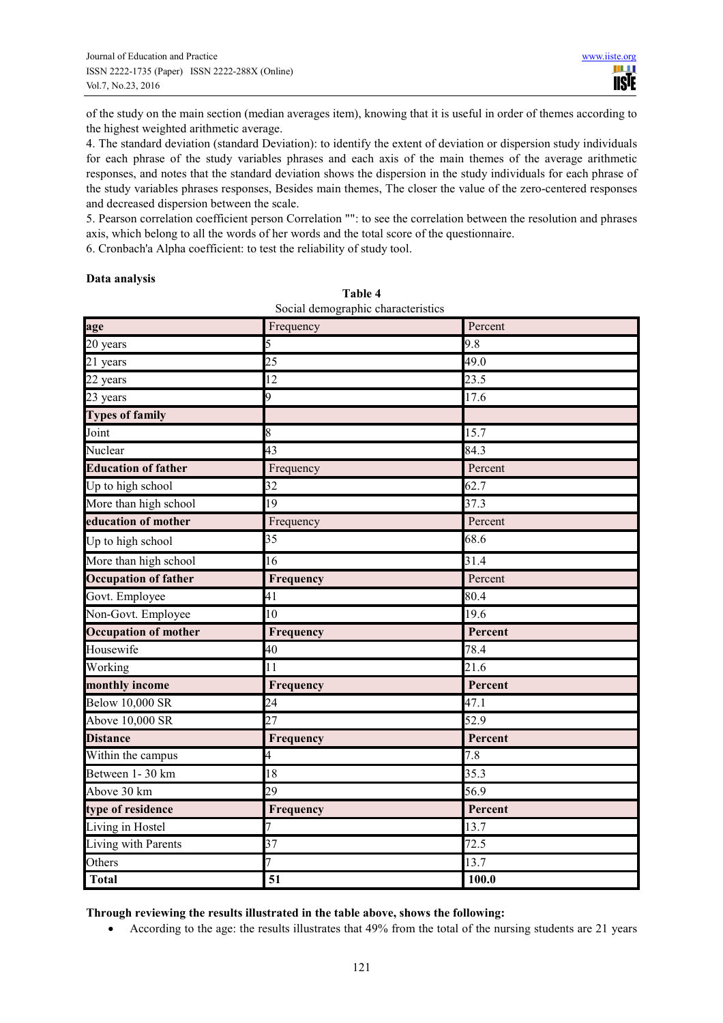of the study on the main section (median averages item), knowing that it is useful in order of themes according to the highest weighted arithmetic average.

4. The standard deviation (standard Deviation): to identify the extent of deviation or dispersion study individuals for each phrase of the study variables phrases and each axis of the main themes of the average arithmetic responses, and notes that the standard deviation shows the dispersion in the study individuals for each phrase of the study variables phrases responses, Besides main themes, The closer the value of the zero-centered responses and decreased dispersion between the scale.

5. Pearson correlation coefficient person Correlation "": to see the correlation between the resolution and phrases axis, which belong to all the words of her words and the total score of the questionnaire.

6. Cronbach'a Alpha coefficient: to test the reliability of study tool.

## **Data analysis**

| age                         | Frequency | Percent |
|-----------------------------|-----------|---------|
| 20 years                    | 5         | 9.8     |
| 21 years                    | 25        | 49.0    |
| 22 years                    | 12        | 23.5    |
| 23 years                    | 9         | 17.6    |
| <b>Types of family</b>      |           |         |
| Joint                       | 8         | 15.7    |
| Nuclear                     | 43        | 84.3    |
| <b>Education of father</b>  | Frequency | Percent |
| Up to high school           | 32        | 62.7    |
| More than high school       | 19        | 37.3    |
| education of mother         | Frequency | Percent |
| Up to high school           | 35        | 68.6    |
| More than high school       | 16        | 31.4    |
| <b>Occupation of father</b> | Frequency | Percent |
| Govt. Employee              | 41        | 80.4    |
| Non-Govt. Employee          | 10        | 19.6    |
| <b>Occupation of mother</b> | Frequency | Percent |
| Housewife                   | 40        | 78.4    |
| Working                     | 11        | 21.6    |
| monthly income              | Frequency | Percent |
| <b>Below 10,000 SR</b>      | 24        | 47.1    |
| Above 10,000 SR             | 27        | 52.9    |
| <b>Distance</b>             | Frequency | Percent |
| Within the campus           | 4         | 7.8     |
| Between 1-30 km             | 18        | 35.3    |
| Above 30 km                 | 29        | 56.9    |
| type of residence           | Frequency | Percent |
| Living in Hostel            |           | 13.7    |
| Living with Parents         | 37        | 72.5    |
| Others                      | 7         | 13.7    |
| <b>Total</b>                | 51        | 100.0   |

| Table 4                            |  |
|------------------------------------|--|
| Social demographic characteristics |  |

**Through reviewing the results illustrated in the table above, shows the following:** 

• According to the age: the results illustrates that 49% from the total of the nursing students are 21 years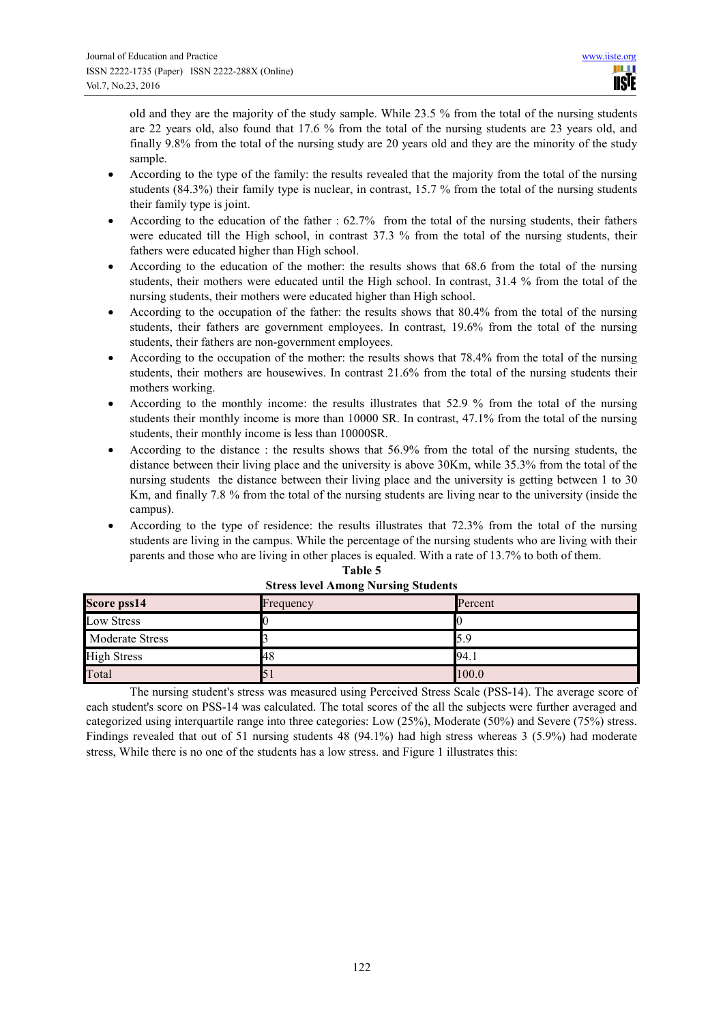old and they are the majority of the study sample. While 23.5 % from the total of the nursing students are 22 years old, also found that 17.6 % from the total of the nursing students are 23 years old, and finally 9.8% from the total of the nursing study are 20 years old and they are the minority of the study sample.

- According to the type of the family: the results revealed that the majority from the total of the nursing students (84.3%) their family type is nuclear, in contrast, 15.7 % from the total of the nursing students their family type is joint.
- According to the education of the father : 62.7% from the total of the nursing students, their fathers were educated till the High school, in contrast 37.3 % from the total of the nursing students, their fathers were educated higher than High school.
- According to the education of the mother: the results shows that 68.6 from the total of the nursing students, their mothers were educated until the High school. In contrast, 31.4 % from the total of the nursing students, their mothers were educated higher than High school.
- According to the occupation of the father: the results shows that 80.4% from the total of the nursing students, their fathers are government employees. In contrast, 19.6% from the total of the nursing students, their fathers are non-government employees.
- According to the occupation of the mother: the results shows that 78.4% from the total of the nursing students, their mothers are housewives. In contrast 21.6% from the total of the nursing students their mothers working.
- According to the monthly income: the results illustrates that 52.9 % from the total of the nursing students their monthly income is more than 10000 SR. In contrast, 47.1% from the total of the nursing students, their monthly income is less than 10000SR.
- According to the distance : the results shows that 56.9% from the total of the nursing students, the distance between their living place and the university is above 30Km, while 35.3% from the total of the nursing students the distance between their living place and the university is getting between 1 to 30 Km, and finally 7.8 % from the total of the nursing students are living near to the university (inside the campus).
- According to the type of residence: the results illustrates that 72.3% from the total of the nursing students are living in the campus. While the percentage of the nursing students who are living with their parents and those who are living in other places is equaled. With a rate of 13.7% to both of them.

|                    | $\frac{1}{2}$ . The contract $\frac{1}{2}$ is the sing statement |         |
|--------------------|------------------------------------------------------------------|---------|
| Score pss14        | Frequency                                                        | Percent |
| Low Stress         |                                                                  |         |
| Moderate Stress    |                                                                  | 5.9     |
| <b>High Stress</b> | '48                                                              | 94.1    |
| Total              |                                                                  | 100.0   |

**Table 5 Stress level Among Nursing Students**

The nursing student's stress was measured using Perceived Stress Scale (PSS-14). The average score of each student's score on PSS-14 was calculated. The total scores of the all the subjects were further averaged and categorized using interquartile range into three categories: Low (25%), Moderate (50%) and Severe (75%) stress. Findings revealed that out of 51 nursing students 48 (94.1%) had high stress whereas 3 (5.9%) had moderate stress, While there is no one of the students has a low stress. and Figure 1 illustrates this: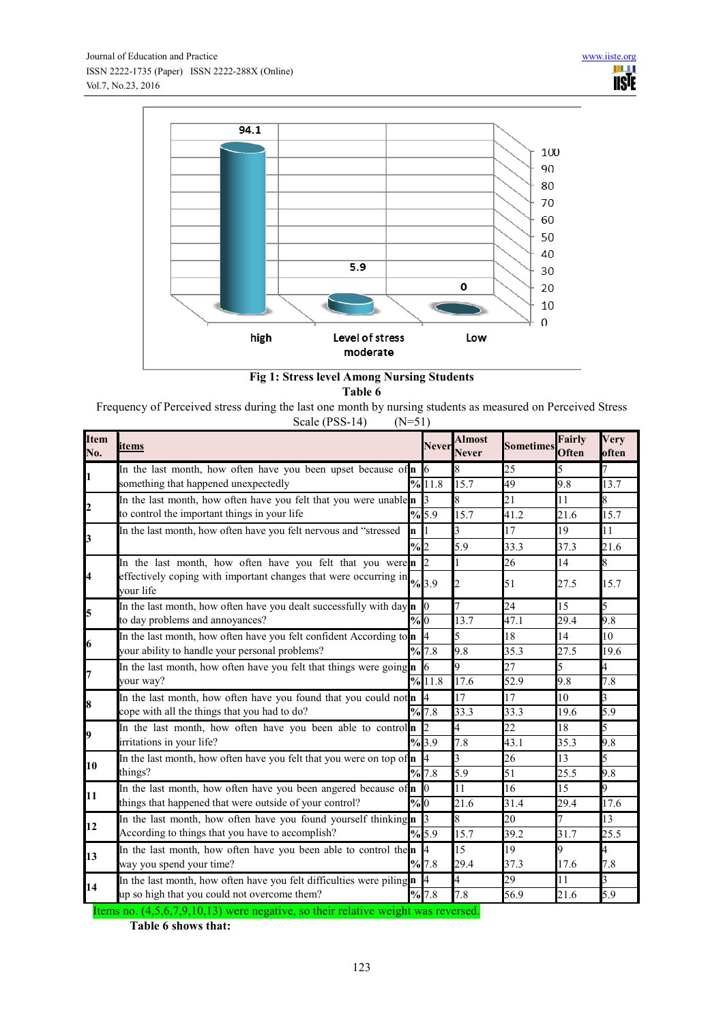

# **Fig 1: Stress level Among Nursing Students Table 6**

Frequency of Perceived stress during the last one month by nursing students as measured on Perceived Stress

| Scale (PSS-14)<br>$(N=51)$ |
|----------------------------|
|----------------------------|

| <b>Item</b><br>No. | items                                                                                           |               | <b>Never</b>                | <b>Almost</b><br><b>Never</b> | <b>Sometimes</b> | <b>Fairly</b><br>Often | Very<br>often |
|--------------------|-------------------------------------------------------------------------------------------------|---------------|-----------------------------|-------------------------------|------------------|------------------------|---------------|
| I1                 | In the last month, how often have you been upset because of $n \times 6$                        |               |                             | 8                             | 25               |                        |               |
|                    | something that happened unexpectedly                                                            |               | %11.8                       | 15.7                          | 49               | 9.8                    | 13.7          |
| $\boldsymbol{z}$   | In the last month, how often have you felt that you were unable n 3                             |               |                             | 8                             | $\overline{21}$  | 11                     |               |
|                    | to control the important things in your life                                                    |               | %5.9                        | 15.7                          | 41.2             | 21.6                   | 15.7          |
| $\mathbf{E}$       | In the last month, how often have you felt nervous and "stressed                                | 'n            |                             | $\mathbf{3}$                  | 17               | 19                     | 11            |
|                    |                                                                                                 | $\frac{9}{2}$ |                             | 5.9                           | 33.3             | 37.3                   | 21.6          |
|                    | In the last month, how often have you felt that you were n                                      |               | $\overline{c}$              |                               | 26               | 14                     | 8             |
| 4                  | effectively coping with important changes that were occurring in $\frac{1}{2}$ 3.9<br>vour life |               |                             | 2                             | 51               | 27.5                   | 15.7          |
| 5                  | In the last month, how often have you dealt successfully with day $\mathbf{n}$ 0                |               |                             | 7                             | 24               | 15                     |               |
|                    | to day problems and annoyances?                                                                 | $\frac{9}{6}$ |                             | 13.7                          | 47.1             | 29.4                   | 9.8           |
| 6                  | In the last month, how often have you felt confident According to $\ln  \theta $                |               | 4                           | 5                             | 18               | 14                     | 10            |
|                    | your ability to handle your personal problems?                                                  |               | %7.8                        | 9.8                           | 35.3             | 27.5                   | 19.6          |
| 7                  | In the last month, how often have you felt that things were going n 6                           |               |                             | 9                             | $\overline{27}$  |                        |               |
|                    | your way?                                                                                       |               | %11.8                       | 17.6                          | 52.9             | 9.8                    | 7.8           |
| 8                  | In the last month, how often have you found that you could not n 4                              |               |                             | 17                            | 17               | 10                     |               |
|                    | cope with all the things that you had to do?                                                    |               | %7.8                        | 33.3                          | 33.3             | 19.6                   | 5.9           |
| 9                  | In the last month, how often have you been able to control                                      |               | $\mathcal{D}_{\mathcal{L}}$ | 4                             | 22               | 18                     |               |
|                    | irritations in your life?                                                                       |               | %3.9                        | 7.8                           | 43.1             | 35.3                   | 9.8           |
| 10                 | In the last month, how often have you felt that you were on top of $\mathbf n$ 4                |               |                             | 3                             | 26               | 13                     |               |
|                    | things?                                                                                         |               | %7.8                        | 5.9                           | $\overline{51}$  | 25.5                   | 9.8           |
| 11                 | In the last month, how often have you been angered because of n 0                               |               |                             | 11                            | 16               | 15                     |               |
|                    | things that happened that were outside of your control?                                         | %0            |                             | 21.6                          | 31.4             | 29.4                   | 17.6          |
| 12                 | In the last month, how often have you found yourself thinking n                                 |               | 3                           | 8                             | 20               |                        | 13            |
|                    | According to things that you have to accomplish?                                                |               | %5.9                        | 15.7                          | 39.2             | 31.7                   | 25.5          |
| 13                 | In the last month, how often have you been able to control then                                 |               |                             | 15                            | 19               | Q.                     | 4             |
|                    | way you spend your time?                                                                        |               | %7.8                        | 29.4                          | 37.3             | 17.6                   | 7.8           |
| 14                 | In the last month, how often have you felt difficulties were piling $\mathbf{n}$                |               | 4                           | 4                             | 29               | 11                     | 3             |
|                    | up so high that you could not overcome them?                                                    |               | %7.8                        | 7.8                           | 56.9             | 21.6                   | 5.9           |

Items no. (4,5,6,7,9,10,13) were negative, so their relative weight was reversed.

**Table 6 shows that:**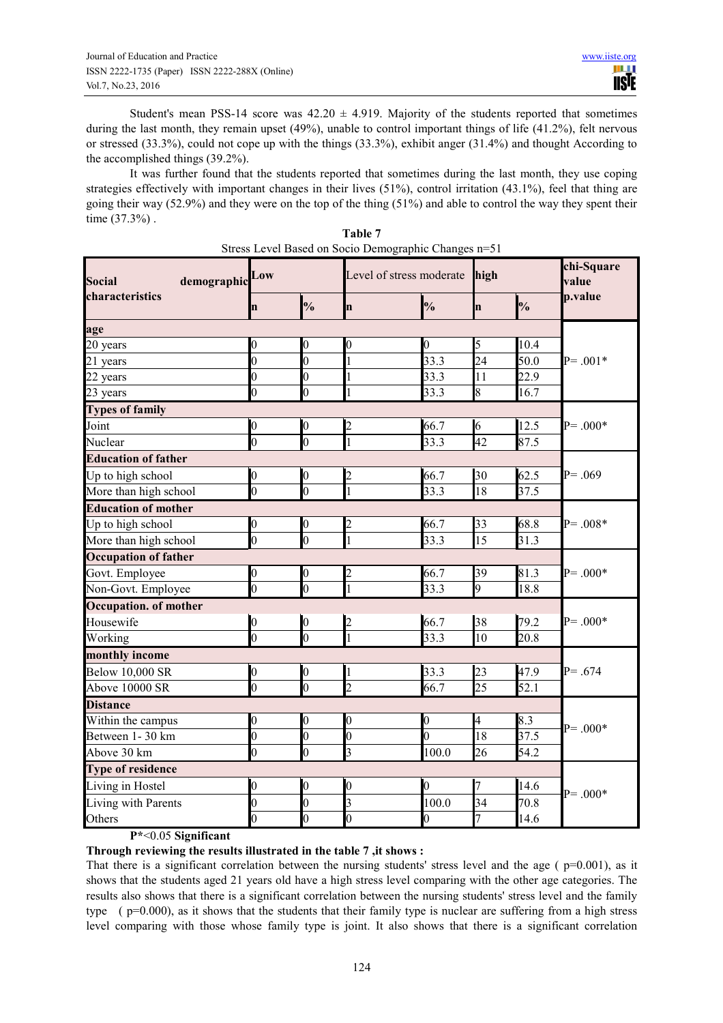Student's mean PSS-14 score was  $42.20 \pm 4.919$ . Majority of the students reported that sometimes during the last month, they remain upset (49%), unable to control important things of life (41.2%), felt nervous or stressed (33.3%), could not cope up with the things (33.3%), exhibit anger (31.4%) and thought According to the accomplished things (39.2%).

It was further found that the students reported that sometimes during the last month, they use coping strategies effectively with important changes in their lives (51%), control irritation (43.1%), feel that thing are going their way (52.9%) and they were on the top of the thing (51%) and able to control the way they spent their time (37.3%) .

| demographic Low<br><b>Social</b> |                  |                | Level of stress moderate high |                  |             | chi-Square<br>value |             |
|----------------------------------|------------------|----------------|-------------------------------|------------------|-------------|---------------------|-------------|
| characteristics                  | $\mathbf n$      | $\frac{1}{2}$  | $\mathbf n$                   | $\frac{1}{2}$    | $\mathbf n$ | $\frac{1}{2}$       | p.value     |
| age                              |                  |                |                               |                  |             |                     |             |
| 20 years                         | 0                | 0              |                               | 0                | 5           | 10.4                |             |
| 21 years                         | $\overline{0}$   | $\overline{0}$ |                               | 33.3             | 24          | 50.0                | $P = .001*$ |
| 22 years                         | $\overline{0}$   | $\overline{0}$ |                               | 33.3             | 11          | 22.9                |             |
| 23 years                         | $\overline{0}$   | $\overline{0}$ |                               | 33.3             | 8           | 16.7                |             |
| <b>Types of family</b>           |                  |                |                               |                  |             |                     |             |
| Joint                            | $\boldsymbol{0}$ | $\overline{0}$ | $\overline{c}$                | 66.7             | 6           | 12.5                | $P = .000*$ |
| Nuclear                          | $\overline{0}$   | $\overline{0}$ |                               | 33.3             | 42          | 87.5                |             |
| <b>Education of father</b>       |                  |                |                               |                  |             |                     |             |
| Up to high school                | $\mathbf{0}$     | $\overline{0}$ | 2                             | 66.7             | 30          | 62.5                | $P = .069$  |
| More than high school            | $\overline{0}$   | $\overline{0}$ |                               | 33.3             | 18          | 37.5                |             |
| <b>Education of mother</b>       |                  |                |                               |                  |             |                     |             |
| Up to high school                | 0                | 0              |                               | 66.7             | 33          | 68.8                | $P = .008*$ |
| More than high school            | $\overline{0}$   | $\overline{0}$ |                               | 33.3             | 15          | 31.3                |             |
| <b>Occupation of father</b>      |                  |                |                               |                  |             |                     |             |
| Govt. Employee                   | 0                | 0              |                               | 66.7             | 39          | 81.3                | $P = 0.00*$ |
| Non-Govt. Employee               | $\overline{0}$   | $\overline{0}$ |                               | 33.3             | 9           | 18.8                |             |
| <b>Occupation. of mother</b>     |                  |                |                               |                  |             |                     |             |
| Housewife                        | $\boldsymbol{0}$ | $\overline{0}$ | $\overline{c}$                | 66.7             | 38          | 79.2                | $P = .000*$ |
| Working                          | $\overline{0}$   | $\overline{0}$ |                               | 33.3             | 10          | 20.8                |             |
| monthly income                   |                  |                |                               |                  |             |                     |             |
| <b>Below 10,000 SR</b>           | $\overline{0}$   | $\overline{0}$ | 1                             | 33.3             | 23          | 47.9                | $P = .674$  |
| Above 10000 SR                   | $\overline{0}$   | $\overline{0}$ | $\mathcal{D}$                 | 66.7             | 25          | 52.1                |             |
| <b>Distance</b>                  |                  |                |                               |                  |             |                     |             |
| Within the campus                | $\boldsymbol{0}$ | 0              |                               | $\boldsymbol{0}$ | 4           | 8.3                 |             |
| Between 1-30 km                  | $\overline{0}$   | $\overline{0}$ |                               | $\overline{0}$   | 18          | $\frac{37.5}{ }$    | $P = .000*$ |
| Above 30 km                      | 0                | 0              |                               | 100.0            | 26          | 54.2                |             |
| <b>Type of residence</b>         |                  |                |                               |                  |             |                     |             |
| Living in Hostel                 | 0                | 0              | 0                             | 0                |             | 14.6                |             |
| Living with Parents              | 0                | 0              | 3                             | 100.0            | 34          | 70.8                | $P = .000*$ |
| Others                           | $\overline{0}$   | $\overline{0}$ | $\overline{0}$                | $\overline{0}$   | 7           | 14.6                |             |

| Table 7                                              |
|------------------------------------------------------|
| Stress Level Based on Socio Demographic Changes n=51 |

**P\***<0.05 **Significant** 

**Through reviewing the results illustrated in the table 7 ,it shows :** 

That there is a significant correlation between the nursing students' stress level and the age ( $p=0.001$ ), as it shows that the students aged 21 years old have a high stress level comparing with the other age categories. The results also shows that there is a significant correlation between the nursing students' stress level and the family type ( p=0.000), as it shows that the students that their family type is nuclear are suffering from a high stress level comparing with those whose family type is joint. It also shows that there is a significant correlation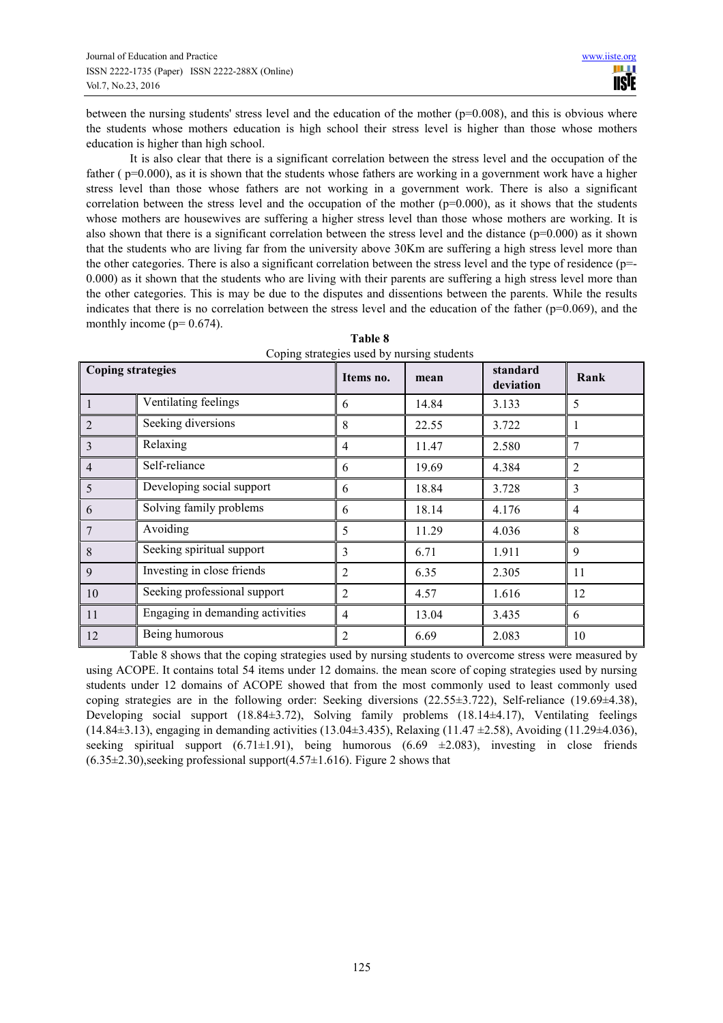between the nursing students' stress level and the education of the mother  $(p=0.008)$ , and this is obvious where the students whose mothers education is high school their stress level is higher than those whose mothers education is higher than high school.

It is also clear that there is a significant correlation between the stress level and the occupation of the father ( $p=0.000$ ), as it is shown that the students whose fathers are working in a government work have a higher stress level than those whose fathers are not working in a government work. There is also a significant correlation between the stress level and the occupation of the mother  $(p=0.000)$ , as it shows that the students whose mothers are housewives are suffering a higher stress level than those whose mothers are working. It is also shown that there is a significant correlation between the stress level and the distance ( $p=0.000$ ) as it shown that the students who are living far from the university above 30Km are suffering a high stress level more than the other categories. There is also a significant correlation between the stress level and the type of residence (p=- 0.000) as it shown that the students who are living with their parents are suffering a high stress level more than the other categories. This is may be due to the disputes and dissentions between the parents. While the results indicates that there is no correlation between the stress level and the education of the father ( $p=0.069$ ), and the monthly income ( $p= 0.674$ ).

| <b>Coping strategies</b> |                                  | Items no.<br>mean |       | standard<br>deviation | Rank           |
|--------------------------|----------------------------------|-------------------|-------|-----------------------|----------------|
| 1                        | Ventilating feelings             | 6                 | 14.84 | 3.133                 | 5              |
|                          | Seeking diversions               | 8                 | 22.55 | 3.722                 |                |
| 3                        | Relaxing                         | 4                 | 11.47 | 2.580                 | 7              |
| 4                        | Self-reliance                    | 6                 | 19.69 | 4.384                 | $\overline{2}$ |
| 5                        | Developing social support        | 6                 | 18.84 | 3.728                 | 3              |
| 6                        | Solving family problems          | 6                 | 18.14 | 4.176                 | $\overline{4}$ |
|                          | Avoiding                         | 5                 | 11.29 | 4.036                 | 8              |
| 8                        | Seeking spiritual support        | 3                 | 6.71  | 1.911                 | 9              |
| 9                        | Investing in close friends       | 2                 | 6.35  | 2.305                 | 11             |
| 10                       | Seeking professional support     | 2                 | 4.57  | 1.616                 | 12             |
| 11                       | Engaging in demanding activities | 4                 | 13.04 | 3.435                 | 6              |
| 12                       | Being humorous                   | 2                 | 6.69  | 2.083                 | 10             |

| Table 8                                    |
|--------------------------------------------|
| Coping strategies used by nursing students |

Table 8 shows that the coping strategies used by nursing students to overcome stress were measured by using ACOPE. It contains total 54 items under 12 domains. the mean score of coping strategies used by nursing students under 12 domains of ACOPE showed that from the most commonly used to least commonly used coping strategies are in the following order: Seeking diversions (22.55±3.722), Self-reliance (19.69±4.38), Developing social support (18.84±3.72), Solving family problems (18.14±4.17), Ventilating feelings (14.84±3.13), engaging in demanding activities (13.04±3.435), Relaxing (11.47 ±2.58), Avoiding (11.29±4.036), seeking spiritual support  $(6.71 \pm 1.91)$ , being humorous  $(6.69 \pm 2.083)$ , investing in close friends  $(6.35\pm2.30)$ , seeking professional support $(4.57\pm1.616)$ . Figure 2 shows that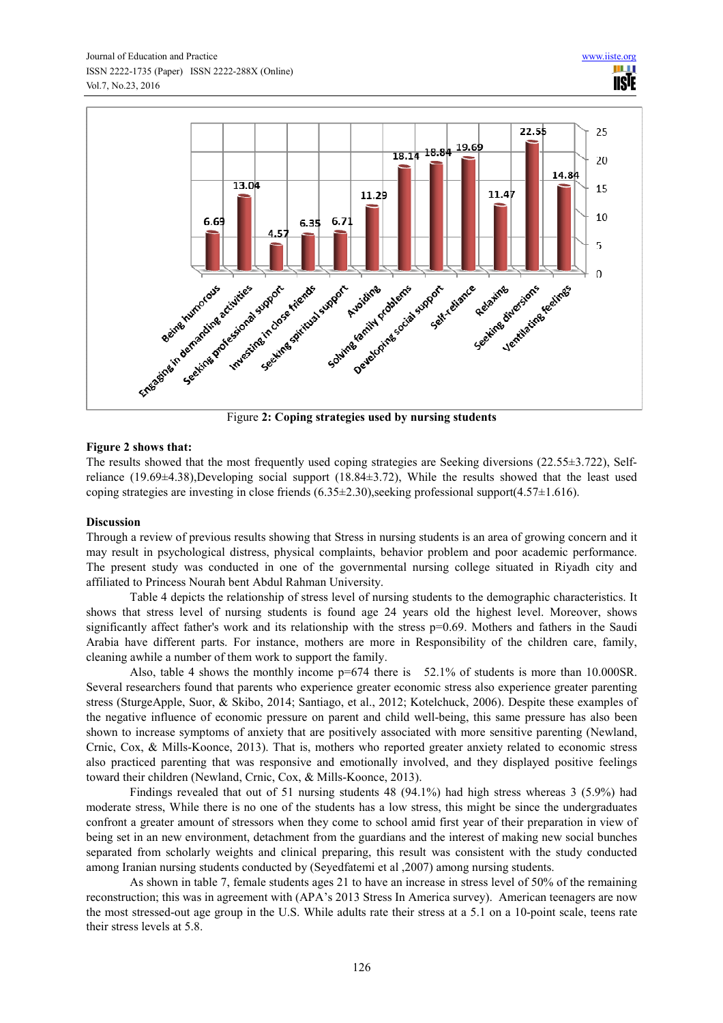

# **Figure 2 shows that:**

The results showed that the most frequently used coping strategies are Seeking diversions (22.55±3.722), Selfreliance (19.69±4.38),Developing social support (18.84±3.72), While the results showed that the least used coping strategies are investing in close friends (6.35±2.30),seeking professional support(4.57±1.616).

## **Discussion**

Through a review of previous results showing that Stress in nursing students is an area of growing concern and it may result in psychological distress, physical complaints, behavior problem and poor academic performance. The present study was conducted in one of the governmental nursing college situated in Riyadh city and affiliated to Princess Nourah bent Abdul Rahman University.

Table 4 depicts the relationship of stress level of nursing students to the demographic characteristics. It shows that stress level of nursing students is found age 24 years old the highest level. Moreover, shows significantly affect father's work and its relationship with the stress  $p=0.69$ . Mothers and fathers in the Saudi Arabia have different parts. For instance, mothers are more in Responsibility of the children care, family, cleaning awhile a number of them work to support the family.

Also, table 4 shows the monthly income p=674 there is 52.1% of students is more than 10.000SR. Several researchers found that parents who experience greater economic stress also experience greater parenting stress (SturgeApple, Suor, & Skibo, 2014; Santiago, et al., 2012; Kotelchuck, 2006). Despite these examples of the negative influence of economic pressure on parent and child well-being, this same pressure has also been shown to increase symptoms of anxiety that are positively associated with more sensitive parenting (Newland, Crnic, Cox, & Mills-Koonce, 2013). That is, mothers who reported greater anxiety related to economic stress also practiced parenting that was responsive and emotionally involved, and they displayed positive feelings toward their children (Newland, Crnic, Cox, & Mills-Koonce, 2013).

Findings revealed that out of 51 nursing students 48 (94.1%) had high stress whereas 3 (5.9%) had moderate stress, While there is no one of the students has a low stress, this might be since the undergraduates confront a greater amount of stressors when they come to school amid first year of their preparation in view of being set in an new environment, detachment from the guardians and the interest of making new social bunches separated from scholarly weights and clinical preparing, this result was consistent with the study conducted among Iranian nursing students conducted by (Seyedfatemi et al ,2007) among nursing students.

As shown in table 7, female students ages 21 to have an increase in stress level of 50% of the remaining reconstruction; this was in agreement with (APA's 2013 Stress In America survey). American teenagers are now the most stressed-out age group in the U.S. While adults rate their stress at a 5.1 on a 10-point scale, teens rate their stress levels at 5.8.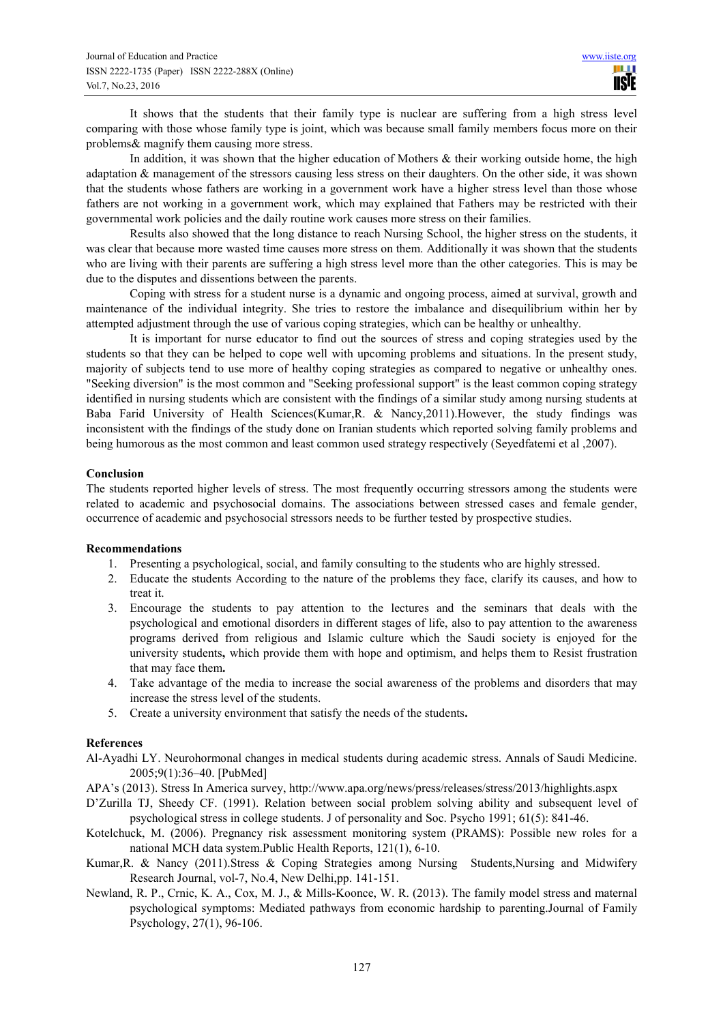It shows that the students that their family type is nuclear are suffering from a high stress level comparing with those whose family type is joint, which was because small family members focus more on their problems& magnify them causing more stress.

In addition, it was shown that the higher education of Mothers & their working outside home, the high adaptation & management of the stressors causing less stress on their daughters. On the other side, it was shown that the students whose fathers are working in a government work have a higher stress level than those whose fathers are not working in a government work, which may explained that Fathers may be restricted with their governmental work policies and the daily routine work causes more stress on their families.

Results also showed that the long distance to reach Nursing School, the higher stress on the students, it was clear that because more wasted time causes more stress on them. Additionally it was shown that the students who are living with their parents are suffering a high stress level more than the other categories. This is may be due to the disputes and dissentions between the parents.

Coping with stress for a student nurse is a dynamic and ongoing process, aimed at survival, growth and maintenance of the individual integrity. She tries to restore the imbalance and disequilibrium within her by attempted adjustment through the use of various coping strategies, which can be healthy or unhealthy.

It is important for nurse educator to find out the sources of stress and coping strategies used by the students so that they can be helped to cope well with upcoming problems and situations. In the present study, majority of subjects tend to use more of healthy coping strategies as compared to negative or unhealthy ones. "Seeking diversion" is the most common and "Seeking professional support" is the least common coping strategy identified in nursing students which are consistent with the findings of a similar study among nursing students at Baba Farid University of Health Sciences(Kumar,R. & Nancy,2011).However, the study findings was inconsistent with the findings of the study done on Iranian students which reported solving family problems and being humorous as the most common and least common used strategy respectively (Seyedfatemi et al ,2007).

#### **Conclusion**

The students reported higher levels of stress. The most frequently occurring stressors among the students were related to academic and psychosocial domains. The associations between stressed cases and female gender, occurrence of academic and psychosocial stressors needs to be further tested by prospective studies.

## **Recommendations**

- 1. Presenting a psychological, social, and family consulting to the students who are highly stressed.
- 2. Educate the students According to the nature of the problems they face, clarify its causes, and how to treat it.
- 3. Encourage the students to pay attention to the lectures and the seminars that deals with the psychological and emotional disorders in different stages of life, also to pay attention to the awareness programs derived from religious and Islamic culture which the Saudi society is enjoyed for the university students**,** which provide them with hope and optimism, and helps them to Resist frustration that may face them**.**
- 4. Take advantage of the media to increase the social awareness of the problems and disorders that may increase the stress level of the students.
- 5. Create a university environment that satisfy the needs of the students**.**

## **References**

- Al-Ayadhi LY. Neurohormonal changes in medical students during academic stress. Annals of Saudi Medicine. 2005;9(1):36–40. [PubMed]
- APA's (2013). Stress In America survey, http://www.apa.org/news/press/releases/stress/2013/highlights.aspx
- D'Zurilla TJ, Sheedy CF. (1991). Relation between social problem solving ability and subsequent level of psychological stress in college students. J of personality and Soc. Psycho 1991; 61(5): 841-46.
- Kotelchuck, M. (2006). Pregnancy risk assessment monitoring system (PRAMS): Possible new roles for a national MCH data system.Public Health Reports, 121(1), 6-10.
- Kumar,R. & Nancy (2011).Stress & Coping Strategies among Nursing Students,Nursing and Midwifery Research Journal, vol-7, No.4, New Delhi,pp. 141-151.
- Newland, R. P., Crnic, K. A., Cox, M. J., & Mills-Koonce, W. R. (2013). The family model stress and maternal psychological symptoms: Mediated pathways from economic hardship to parenting.Journal of Family Psychology, 27(1), 96-106.